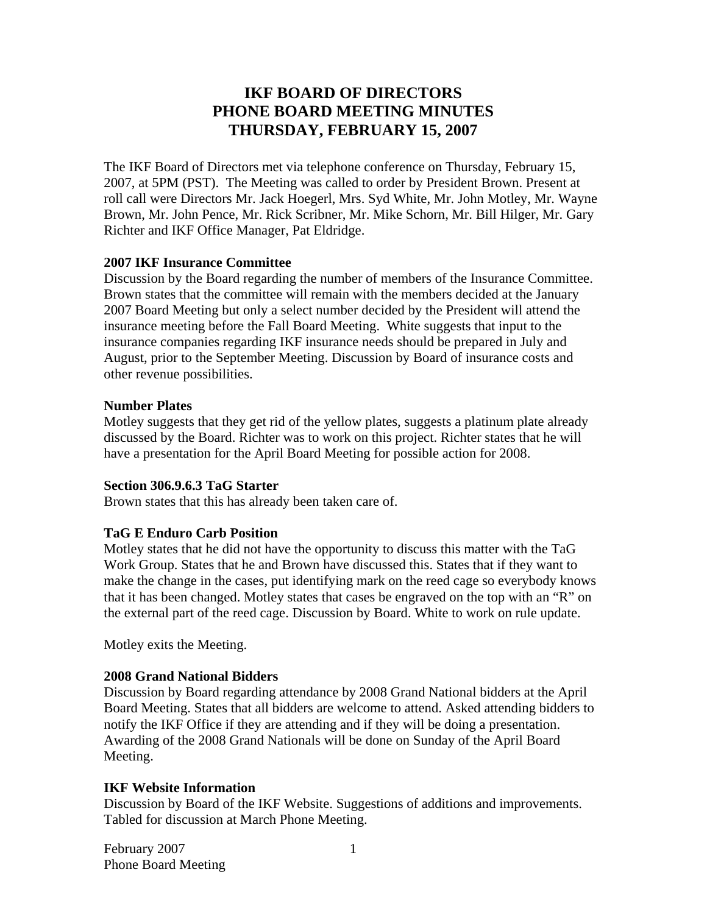# **IKF BOARD OF DIRECTORS PHONE BOARD MEETING MINUTES THURSDAY, FEBRUARY 15, 2007**

The IKF Board of Directors met via telephone conference on Thursday, February 15, 2007, at 5PM (PST). The Meeting was called to order by President Brown. Present at roll call were Directors Mr. Jack Hoegerl, Mrs. Syd White, Mr. John Motley, Mr. Wayne Brown, Mr. John Pence, Mr. Rick Scribner, Mr. Mike Schorn, Mr. Bill Hilger, Mr. Gary Richter and IKF Office Manager, Pat Eldridge.

#### **2007 IKF Insurance Committee**

Discussion by the Board regarding the number of members of the Insurance Committee. Brown states that the committee will remain with the members decided at the January 2007 Board Meeting but only a select number decided by the President will attend the insurance meeting before the Fall Board Meeting. White suggests that input to the insurance companies regarding IKF insurance needs should be prepared in July and August, prior to the September Meeting. Discussion by Board of insurance costs and other revenue possibilities.

#### **Number Plates**

Motley suggests that they get rid of the yellow plates, suggests a platinum plate already discussed by the Board. Richter was to work on this project. Richter states that he will have a presentation for the April Board Meeting for possible action for 2008.

#### **Section 306.9.6.3 TaG Starter**

Brown states that this has already been taken care of.

# **TaG E Enduro Carb Position**

Motley states that he did not have the opportunity to discuss this matter with the TaG Work Group. States that he and Brown have discussed this. States that if they want to make the change in the cases, put identifying mark on the reed cage so everybody knows that it has been changed. Motley states that cases be engraved on the top with an "R" on the external part of the reed cage. Discussion by Board. White to work on rule update.

Motley exits the Meeting.

# **2008 Grand National Bidders**

Discussion by Board regarding attendance by 2008 Grand National bidders at the April Board Meeting. States that all bidders are welcome to attend. Asked attending bidders to notify the IKF Office if they are attending and if they will be doing a presentation. Awarding of the 2008 Grand Nationals will be done on Sunday of the April Board Meeting.

# **IKF Website Information**

Discussion by Board of the IKF Website. Suggestions of additions and improvements. Tabled for discussion at March Phone Meeting.

February 2007 Phone Board Meeting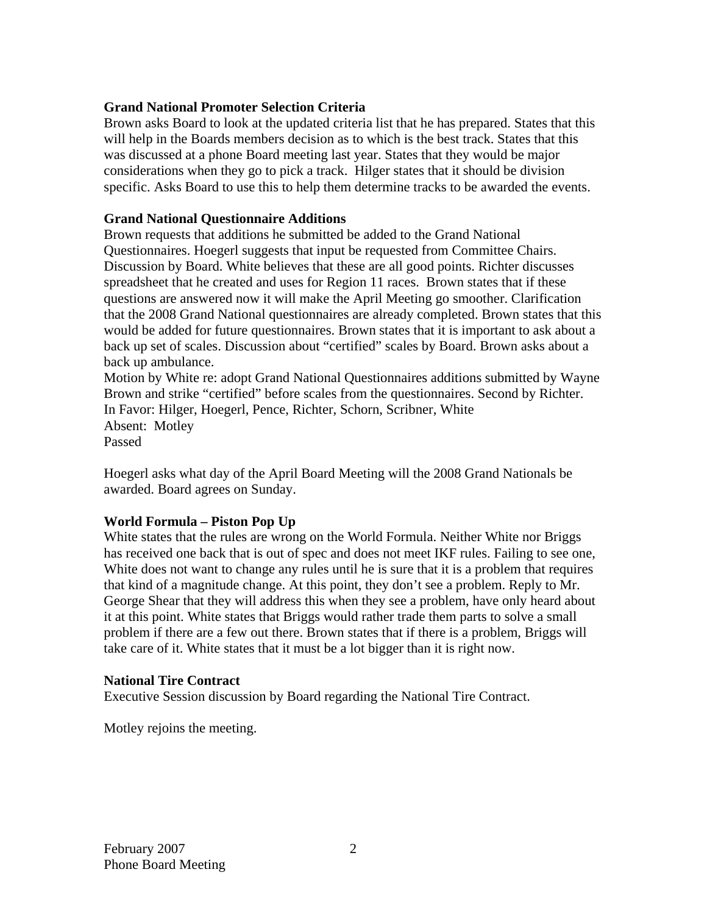# **Grand National Promoter Selection Criteria**

Brown asks Board to look at the updated criteria list that he has prepared. States that this will help in the Boards members decision as to which is the best track. States that this was discussed at a phone Board meeting last year. States that they would be major considerations when they go to pick a track. Hilger states that it should be division specific. Asks Board to use this to help them determine tracks to be awarded the events.

#### **Grand National Questionnaire Additions**

Brown requests that additions he submitted be added to the Grand National Questionnaires. Hoegerl suggests that input be requested from Committee Chairs. Discussion by Board. White believes that these are all good points. Richter discusses spreadsheet that he created and uses for Region 11 races. Brown states that if these questions are answered now it will make the April Meeting go smoother. Clarification that the 2008 Grand National questionnaires are already completed. Brown states that this would be added for future questionnaires. Brown states that it is important to ask about a back up set of scales. Discussion about "certified" scales by Board. Brown asks about a back up ambulance.

Motion by White re: adopt Grand National Questionnaires additions submitted by Wayne Brown and strike "certified" before scales from the questionnaires. Second by Richter. In Favor: Hilger, Hoegerl, Pence, Richter, Schorn, Scribner, White Absent: Motley Passed

Hoegerl asks what day of the April Board Meeting will the 2008 Grand Nationals be awarded. Board agrees on Sunday.

# **World Formula – Piston Pop Up**

White states that the rules are wrong on the World Formula. Neither White nor Briggs has received one back that is out of spec and does not meet IKF rules. Failing to see one, White does not want to change any rules until he is sure that it is a problem that requires that kind of a magnitude change. At this point, they don't see a problem. Reply to Mr. George Shear that they will address this when they see a problem, have only heard about it at this point. White states that Briggs would rather trade them parts to solve a small problem if there are a few out there. Brown states that if there is a problem, Briggs will take care of it. White states that it must be a lot bigger than it is right now.

#### **National Tire Contract**

Executive Session discussion by Board regarding the National Tire Contract.

Motley rejoins the meeting.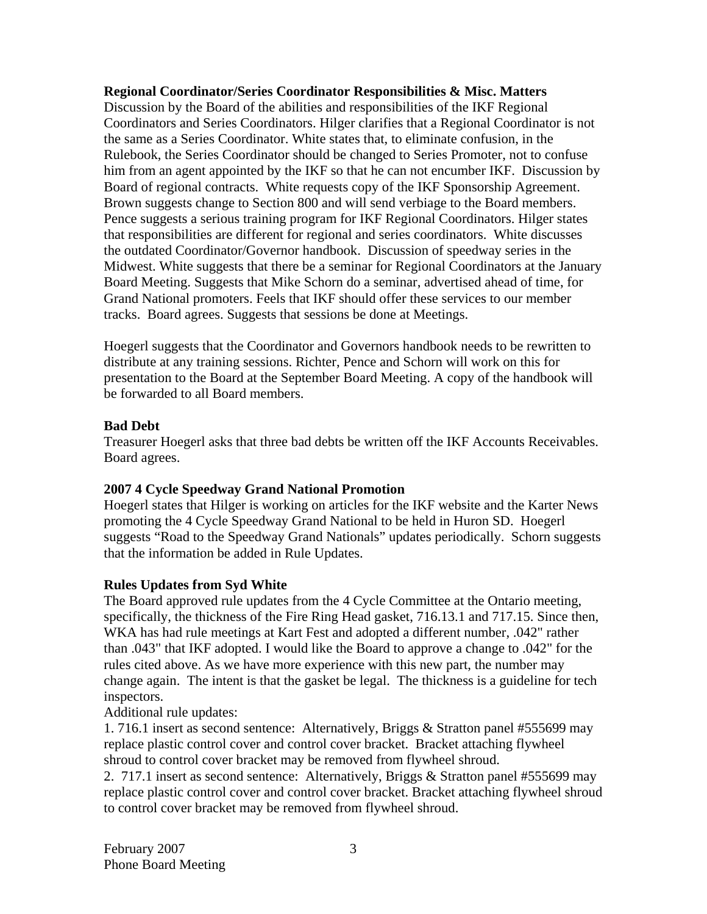### **Regional Coordinator/Series Coordinator Responsibilities & Misc. Matters**

Discussion by the Board of the abilities and responsibilities of the IKF Regional Coordinators and Series Coordinators. Hilger clarifies that a Regional Coordinator is not the same as a Series Coordinator. White states that, to eliminate confusion, in the Rulebook, the Series Coordinator should be changed to Series Promoter, not to confuse him from an agent appointed by the IKF so that he can not encumber IKF. Discussion by Board of regional contracts. White requests copy of the IKF Sponsorship Agreement. Brown suggests change to Section 800 and will send verbiage to the Board members. Pence suggests a serious training program for IKF Regional Coordinators. Hilger states that responsibilities are different for regional and series coordinators. White discusses the outdated Coordinator/Governor handbook. Discussion of speedway series in the Midwest. White suggests that there be a seminar for Regional Coordinators at the January Board Meeting. Suggests that Mike Schorn do a seminar, advertised ahead of time, for Grand National promoters. Feels that IKF should offer these services to our member tracks. Board agrees. Suggests that sessions be done at Meetings.

Hoegerl suggests that the Coordinator and Governors handbook needs to be rewritten to distribute at any training sessions. Richter, Pence and Schorn will work on this for presentation to the Board at the September Board Meeting. A copy of the handbook will be forwarded to all Board members.

#### **Bad Debt**

Treasurer Hoegerl asks that three bad debts be written off the IKF Accounts Receivables. Board agrees.

# **2007 4 Cycle Speedway Grand National Promotion**

Hoegerl states that Hilger is working on articles for the IKF website and the Karter News promoting the 4 Cycle Speedway Grand National to be held in Huron SD. Hoegerl suggests "Road to the Speedway Grand Nationals" updates periodically. Schorn suggests that the information be added in Rule Updates.

# **Rules Updates from Syd White**

The Board approved rule updates from the 4 Cycle Committee at the Ontario meeting, specifically, the thickness of the Fire Ring Head gasket, 716.13.1 and 717.15. Since then, WKA has had rule meetings at Kart Fest and adopted a different number, .042" rather than .043" that IKF adopted. I would like the Board to approve a change to .042" for the rules cited above. As we have more experience with this new part, the number may change again. The intent is that the gasket be legal. The thickness is a guideline for tech inspectors.

Additional rule updates:

1. 716.1 insert as second sentence: Alternatively, Briggs & Stratton panel #555699 may replace plastic control cover and control cover bracket. Bracket attaching flywheel shroud to control cover bracket may be removed from flywheel shroud.

2. 717.1 insert as second sentence: Alternatively, Briggs & Stratton panel #555699 may replace plastic control cover and control cover bracket. Bracket attaching flywheel shroud to control cover bracket may be removed from flywheel shroud.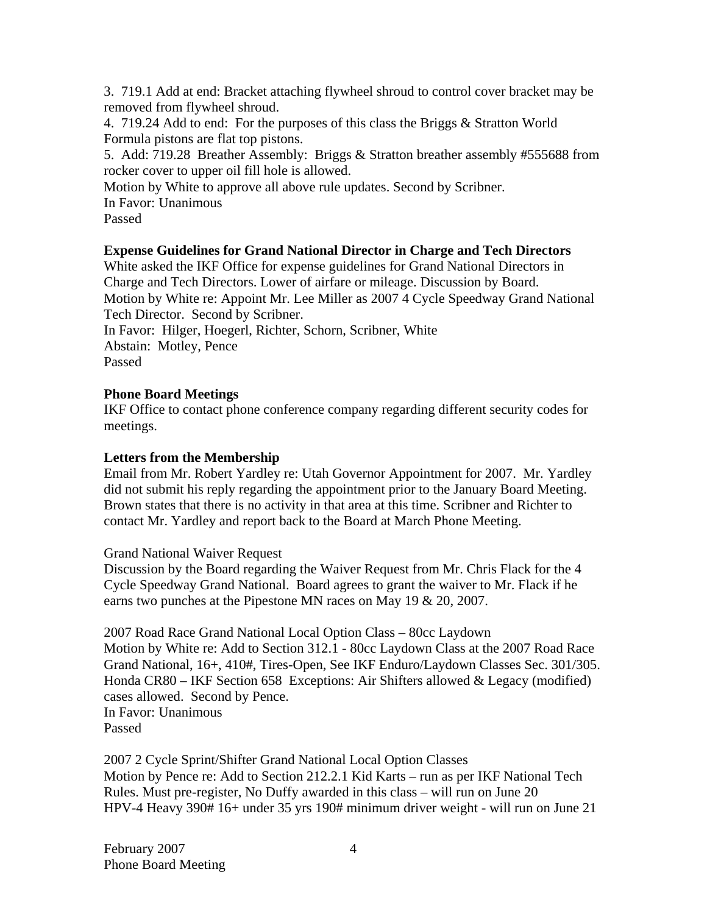3. 719.1 Add at end: Bracket attaching flywheel shroud to control cover bracket may be removed from flywheel shroud.

4. 719.24 Add to end: For the purposes of this class the Briggs & Stratton World Formula pistons are flat top pistons.

5. Add: 719.28 Breather Assembly: Briggs & Stratton breather assembly #555688 from rocker cover to upper oil fill hole is allowed.

Motion by White to approve all above rule updates. Second by Scribner.

In Favor: Unanimous

Passed

# **Expense Guidelines for Grand National Director in Charge and Tech Directors**

White asked the IKF Office for expense guidelines for Grand National Directors in Charge and Tech Directors. Lower of airfare or mileage. Discussion by Board. Motion by White re: Appoint Mr. Lee Miller as 2007 4 Cycle Speedway Grand National Tech Director. Second by Scribner.

In Favor: Hilger, Hoegerl, Richter, Schorn, Scribner, White Abstain: Motley, Pence Passed

# **Phone Board Meetings**

IKF Office to contact phone conference company regarding different security codes for meetings.

# **Letters from the Membership**

Email from Mr. Robert Yardley re: Utah Governor Appointment for 2007. Mr. Yardley did not submit his reply regarding the appointment prior to the January Board Meeting. Brown states that there is no activity in that area at this time. Scribner and Richter to contact Mr. Yardley and report back to the Board at March Phone Meeting.

# Grand National Waiver Request

Discussion by the Board regarding the Waiver Request from Mr. Chris Flack for the 4 Cycle Speedway Grand National. Board agrees to grant the waiver to Mr. Flack if he earns two punches at the Pipestone MN races on May 19 & 20, 2007.

2007 Road Race Grand National Local Option Class – 80cc Laydown Motion by White re: Add to Section 312.1 - 80cc Laydown Class at the 2007 Road Race Grand National, 16+, 410#, Tires-Open, See IKF Enduro/Laydown Classes Sec. 301/305. Honda CR80 – IKF Section 658 Exceptions: Air Shifters allowed & Legacy (modified) cases allowed. Second by Pence. In Favor: Unanimous Passed

2007 2 Cycle Sprint/Shifter Grand National Local Option Classes Motion by Pence re: Add to Section 212.2.1 Kid Karts – run as per IKF National Tech Rules. Must pre-register, No Duffy awarded in this class – will run on June 20 HPV-4 Heavy 390# 16+ under 35 yrs 190# minimum driver weight - will run on June 21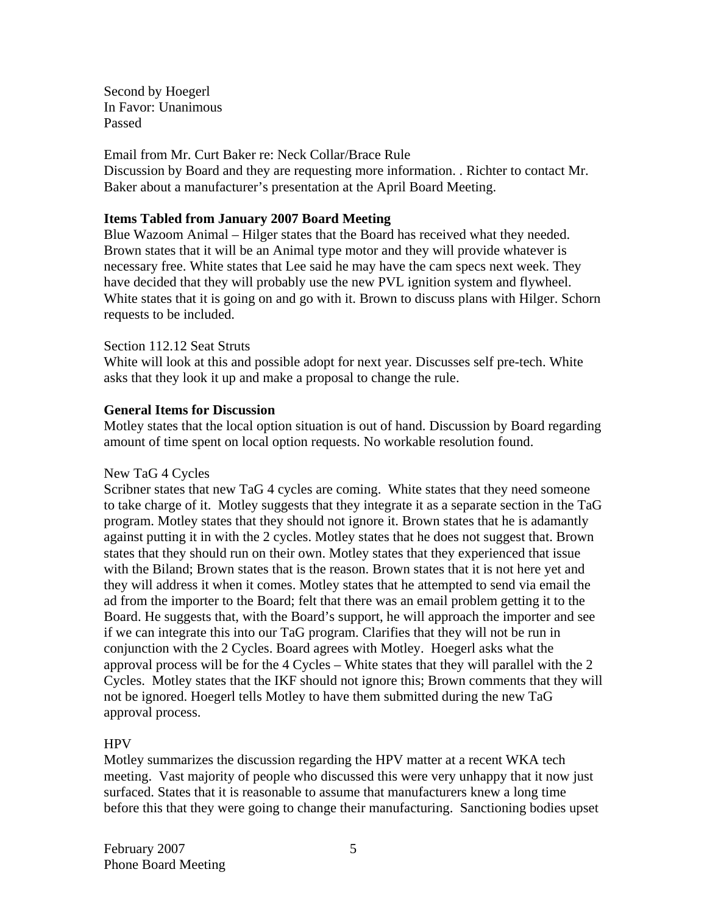Second by Hoegerl In Favor: Unanimous Passed

#### Email from Mr. Curt Baker re: Neck Collar/Brace Rule

Discussion by Board and they are requesting more information. . Richter to contact Mr. Baker about a manufacturer's presentation at the April Board Meeting.

### **Items Tabled from January 2007 Board Meeting**

Blue Wazoom Animal – Hilger states that the Board has received what they needed. Brown states that it will be an Animal type motor and they will provide whatever is necessary free. White states that Lee said he may have the cam specs next week. They have decided that they will probably use the new PVL ignition system and flywheel. White states that it is going on and go with it. Brown to discuss plans with Hilger. Schorn requests to be included.

#### Section 112.12 Seat Struts

White will look at this and possible adopt for next year. Discusses self pre-tech. White asks that they look it up and make a proposal to change the rule.

#### **General Items for Discussion**

Motley states that the local option situation is out of hand. Discussion by Board regarding amount of time spent on local option requests. No workable resolution found.

#### New TaG 4 Cycles

Scribner states that new TaG 4 cycles are coming. White states that they need someone to take charge of it. Motley suggests that they integrate it as a separate section in the TaG program. Motley states that they should not ignore it. Brown states that he is adamantly against putting it in with the 2 cycles. Motley states that he does not suggest that. Brown states that they should run on their own. Motley states that they experienced that issue with the Biland; Brown states that is the reason. Brown states that it is not here yet and they will address it when it comes. Motley states that he attempted to send via email the ad from the importer to the Board; felt that there was an email problem getting it to the Board. He suggests that, with the Board's support, he will approach the importer and see if we can integrate this into our TaG program. Clarifies that they will not be run in conjunction with the 2 Cycles. Board agrees with Motley. Hoegerl asks what the approval process will be for the 4 Cycles – White states that they will parallel with the 2 Cycles. Motley states that the IKF should not ignore this; Brown comments that they will not be ignored. Hoegerl tells Motley to have them submitted during the new TaG approval process.

# **HPV**

Motley summarizes the discussion regarding the HPV matter at a recent WKA tech meeting. Vast majority of people who discussed this were very unhappy that it now just surfaced. States that it is reasonable to assume that manufacturers knew a long time before this that they were going to change their manufacturing. Sanctioning bodies upset